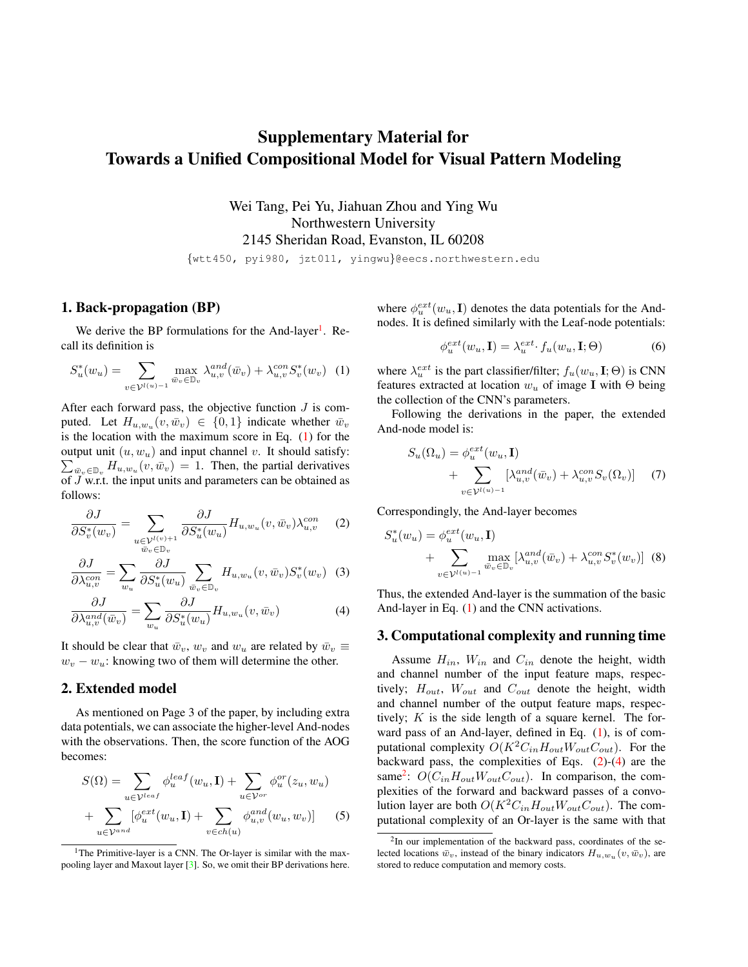# <span id="page-0-5"></span>Supplementary Material for Towards a Unified Compositional Model for Visual Pattern Modeling

Wei Tang, Pei Yu, Jiahuan Zhou and Ying Wu Northwestern University 2145 Sheridan Road, Evanston, IL 60208

{wtt450, pyi980, jzt011, yingwu}@eecs.northwestern.edu

### 1. Back-propagation (BP)

We derive the BP formulations for the And-layer<sup>[1](#page-0-0)</sup>. Recall its definition is

$$
S_u^*(w_u) = \sum_{v \in \mathcal{V}^{l(u)-1}} \max_{\bar{w}_v \in \mathbb{D}_v} \lambda_{u,v}^{and}(\bar{w}_v) + \lambda_{u,v}^{con} S_v^*(w_v) \tag{1}
$$

After each forward pass, the objective function  $J$  is computed. Let  $H_{u,w_u}(v,\bar{w}_v) \in \{0,1\}$  indicate whether  $\bar{w}_v$ is the location with the maximum score in Eq. [\(1\)](#page-0-1) for the output unit  $(u, w_u)$  and input channel v. It should satisfy:  $\sum_{\bar{w}_v \in \mathbb{D}_v} H_{u,w_u}(v, \bar{w}_v) = 1$ . Then, the partial derivatives of  $J$  w.r.t. the input units and parameters can be obtained as follows:

$$
\frac{\partial J}{\partial S_v^*(w_v)} = \sum_{\substack{u \in \mathcal{V}^{l(v)+1} \\ \bar{w}_v \in \mathbb{D}_v}} \frac{\partial J}{\partial S_u^*(w_u)} H_{u,w_u}(v, \bar{w}_v) \lambda_{u,v}^{con} \tag{2}
$$

$$
\frac{\partial J}{\partial \lambda_{u,v}^{con}} = \sum_{w_u} \frac{\partial J}{\partial S_u^*(w_u)} \sum_{\bar{w}_v \in \mathbb{D}_v} H_{u,w_u}(v, \bar{w}_v) S_v^*(w_v) \tag{3}
$$

$$
\frac{\partial J}{\partial \lambda_{u,v}^{and}(\bar{w}_v)} = \sum_{w_u} \frac{\partial J}{\partial S_u^*(w_u)} H_{u,w_u}(v, \bar{w}_v)
$$
(4)

It should be clear that  $\bar{w}_v$ ,  $w_v$  and  $w_u$  are related by  $\bar{w}_v \equiv$  $w_v - w_u$ : knowing two of them will determine the other.

#### 2. Extended model

As mentioned on Page 3 of the paper, by including extra data potentials, we can associate the higher-level And-nodes with the observations. Then, the score function of the AOG becomes:

$$
S(\Omega) = \sum_{u \in \mathcal{V}^{leaf}} \phi_u^{leaf}(w_u, \mathbf{I}) + \sum_{u \in \mathcal{V}^{or}} \phi_u^{or}(z_u, w_u)
$$

$$
+ \sum_{u \in \mathcal{V}^{and}} [\phi_u^{ext}(w_u, \mathbf{I}) + \sum_{v \in ch(u)} \phi_{u,v}^{and}(w_u, w_v)] \tag{5}
$$

<span id="page-0-0"></span><sup>1</sup>The Primitive-layer is a CNN. The Or-layer is similar with the maxpooling layer and Maxout layer [\[3\]](#page-2-0). So, we omit their BP derivations here.

where  $\phi_u^{ext}(w_u, \mathbf{I})$  denotes the data potentials for the Andnodes. It is defined similarly with the Leaf-node potentials:

$$
\phi_u^{ext}(w_u, \mathbf{I}) = \lambda_u^{ext} \cdot f_u(w_u, \mathbf{I}; \Theta)
$$
\n(6)

<span id="page-0-1"></span>where  $\lambda_u^{ext}$  is the part classifier/filter;  $f_u(w_u, \mathbf{I}; \Theta)$  is CNN features extracted at location  $w_u$  of image I with  $\Theta$  being the collection of the CNN's parameters.

Following the derivations in the paper, the extended And-node model is:

$$
S_u(\Omega_u) = \phi_u^{ext}(w_u, \mathbf{I})
$$
  
+ 
$$
\sum_{v \in \mathcal{V}^{l(u)-1}} [\lambda_{u,v}^{and}(\bar{w}_v) + \lambda_{u,v}^{con} S_v(\Omega_v)]
$$
 (7)

<span id="page-0-2"></span>Correspondingly, the And-layer becomes

$$
S_u^*(w_u) = \phi_u^{ext}(w_u, \mathbf{I})
$$
  
+ 
$$
\sum_{v \in \mathcal{V}^{l(u)-1}} \max_{\bar{w}_v \in \mathbb{D}_v} [\lambda_{u,v}^{and}(\bar{w}_v) + \lambda_{u,v}^{con} S_v^*(w_v)]
$$
 (8)

<span id="page-0-3"></span>Thus, the extended And-layer is the summation of the basic And-layer in Eq. [\(1\)](#page-0-1) and the CNN activations.

#### 3. Computational complexity and running time

Assume  $H_{in}$ ,  $W_{in}$  and  $C_{in}$  denote the height, width and channel number of the input feature maps, respectively;  $H_{out}$ ,  $W_{out}$  and  $C_{out}$  denote the height, width and channel number of the output feature maps, respectively;  $K$  is the side length of a square kernel. The forward pass of an And-layer, defined in Eq.  $(1)$ , is of computational complexity  $O(K^2C_{in}H_{out}W_{out}C_{out})$ . For the backward pass, the complexities of Eqs.  $(2)-(4)$  $(2)-(4)$  $(2)-(4)$  are the same<sup>[2](#page-0-4)</sup>:  $O(C_{in}H_{out}W_{out}C_{out})$ . In comparison, the complexities of the forward and backward passes of a convolution layer are both  $O(K^2C_{in}H_{out}W_{out}C_{out})$ . The computational complexity of an Or-layer is the same with that

<span id="page-0-4"></span> $2$ In our implementation of the backward pass, coordinates of the selected locations  $\bar{w}_v$ , instead of the binary indicators  $H_{u,w_u}(v, \bar{w}_v)$ , are stored to reduce computation and memory costs.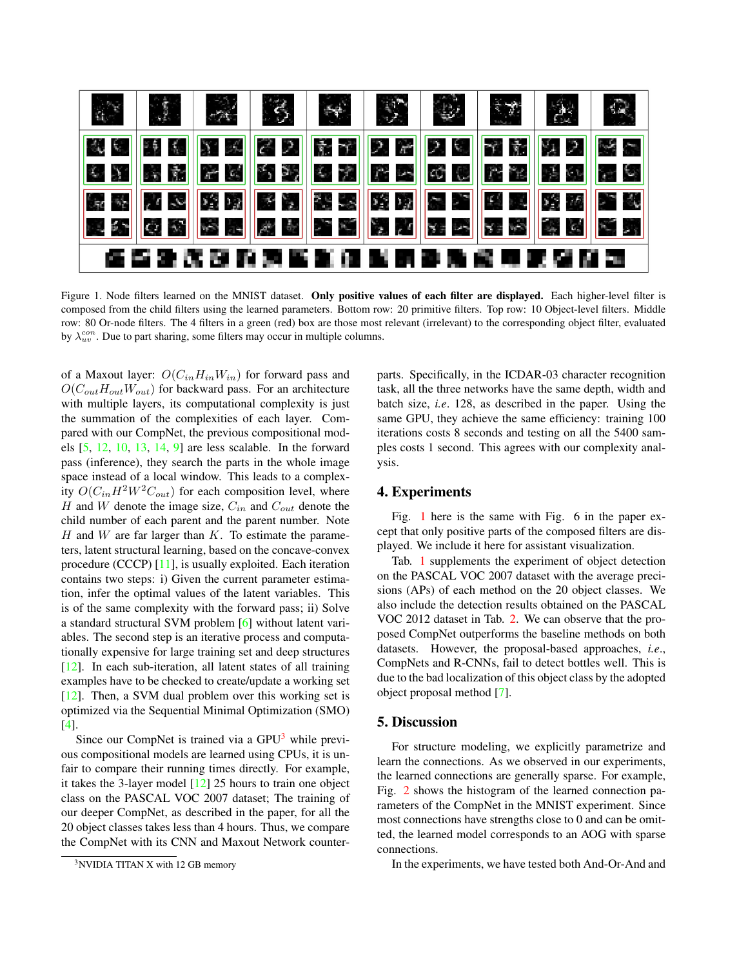<span id="page-1-2"></span>

<span id="page-1-1"></span>Figure 1. Node filters learned on the MNIST dataset. Only positive values of each filter are displayed. Each higher-level filter is composed from the child filters using the learned parameters. Bottom row: 20 primitive filters. Top row: 10 Object-level filters. Middle row: 80 Or-node filters. The 4 filters in a green (red) box are those most relevant (irrelevant) to the corresponding object filter, evaluated by  $\lambda_{uv}^{con}$ . Due to part sharing, some filters may occur in multiple columns.

of a Maxout layer:  $O(C_{in}H_{in}W_{in})$  for forward pass and  $O(C_{out}H_{out}W_{out})$  for backward pass. For an architecture with multiple layers, its computational complexity is just the summation of the complexities of each layer. Compared with our CompNet, the previous compositional models [\[5,](#page-2-1) [12,](#page-2-2) [10,](#page-2-3) [13,](#page-2-4) [14,](#page-2-5) [9\]](#page-2-6) are less scalable. In the forward pass (inference), they search the parts in the whole image space instead of a local window. This leads to a complexity  $O(C_{in}H^2W^2C_{out})$  for each composition level, where H and W denote the image size,  $C_{in}$  and  $C_{out}$  denote the child number of each parent and the parent number. Note  $H$  and  $W$  are far larger than  $K$ . To estimate the parameters, latent structural learning, based on the concave-convex procedure (CCCP) [\[11\]](#page-2-7), is usually exploited. Each iteration contains two steps: i) Given the current parameter estimation, infer the optimal values of the latent variables. This is of the same complexity with the forward pass; ii) Solve a standard structural SVM problem [\[6\]](#page-2-8) without latent variables. The second step is an iterative process and computationally expensive for large training set and deep structures [\[12\]](#page-2-2). In each sub-iteration, all latent states of all training examples have to be checked to create/update a working set [\[12\]](#page-2-2). Then, a SVM dual problem over this working set is optimized via the Sequential Minimal Optimization (SMO) [\[4\]](#page-2-9).

Since our CompNet is trained via a GPU<sup>[3](#page-1-0)</sup> while previous compositional models are learned using CPUs, it is unfair to compare their running times directly. For example, it takes the 3-layer model [\[12\]](#page-2-2) 25 hours to train one object class on the PASCAL VOC 2007 dataset; The training of our deeper CompNet, as described in the paper, for all the 20 object classes takes less than 4 hours. Thus, we compare the CompNet with its CNN and Maxout Network counterparts. Specifically, in the ICDAR-03 character recognition task, all the three networks have the same depth, width and batch size, *i.e*. 128, as described in the paper. Using the same GPU, they achieve the same efficiency: training 100 iterations costs 8 seconds and testing on all the 5400 samples costs 1 second. This agrees with our complexity analysis.

#### 4. Experiments

Fig. [1](#page-1-1) here is the same with Fig. 6 in the paper except that only positive parts of the composed filters are displayed. We include it here for assistant visualization.

Tab. [1](#page-2-10) supplements the experiment of object detection on the PASCAL VOC 2007 dataset with the average precisions (APs) of each method on the 20 object classes. We also include the detection results obtained on the PASCAL VOC 2012 dataset in Tab. [2.](#page-2-11) We can observe that the proposed CompNet outperforms the baseline methods on both datasets. However, the proposal-based approaches, *i.e*., CompNets and R-CNNs, fail to detect bottles well. This is due to the bad localization of this object class by the adopted object proposal method [\[7\]](#page-2-12).

## 5. Discussion

For structure modeling, we explicitly parametrize and learn the connections. As we observed in our experiments, the learned connections are generally sparse. For example, Fig. [2](#page-2-13) shows the histogram of the learned connection parameters of the CompNet in the MNIST experiment. Since most connections have strengths close to 0 and can be omitted, the learned model corresponds to an AOG with sparse connections.

In the experiments, we have tested both And-Or-And and

<span id="page-1-0"></span><sup>&</sup>lt;sup>3</sup>NVIDIA TITAN X with 12 GB memory